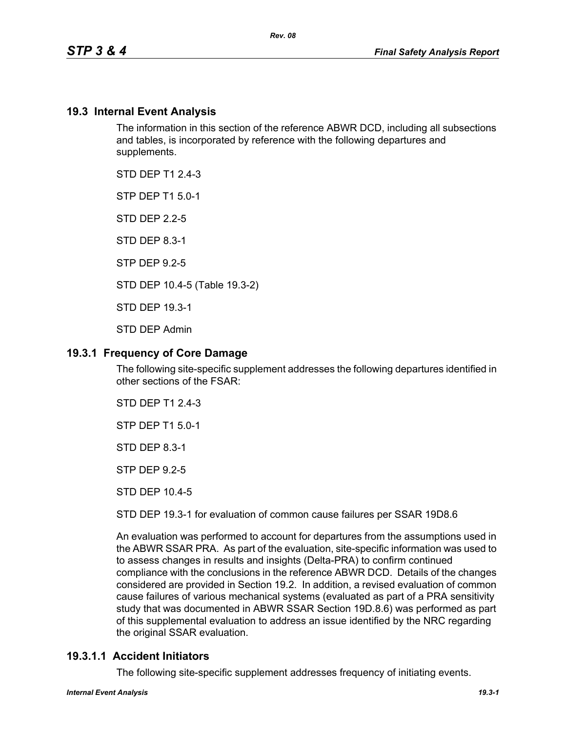## **19.3 Internal Event Analysis**

The information in this section of the reference ABWR DCD, including all subsections and tables, is incorporated by reference with the following departures and supplements.

STD DFP T1 2 4-3

STP DEP T1 5.0-1

STD DEP 2.2-5

STD DEP 8.3-1

STP DEP 9.2-5

STD DEP 10.4-5 (Table 19.3-2)

STD DEP 19.3-1

STD DEP Admin

## **19.3.1 Frequency of Core Damage**

The following site-specific supplement addresses the following departures identified in other sections of the FSAR:

STD DEP T1 2.4-3

STP DEP T1 5.0-1

STD DEP 8.3-1

STP DEP 9.2-5

STD DEP 10.4-5

STD DEP 19.3-1 for evaluation of common cause failures per SSAR 19D8.6

An evaluation was performed to account for departures from the assumptions used in the ABWR SSAR PRA. As part of the evaluation, site-specific information was used to to assess changes in results and insights (Delta-PRA) to confirm continued compliance with the conclusions in the reference ABWR DCD. Details of the changes considered are provided in Section 19.2. In addition, a revised evaluation of common cause failures of various mechanical systems (evaluated as part of a PRA sensitivity study that was documented in ABWR SSAR Section 19D.8.6) was performed as part of this supplemental evaluation to address an issue identified by the NRC regarding the original SSAR evaluation.

## **19.3.1.1 Accident Initiators**

The following site-specific supplement addresses frequency of initiating events.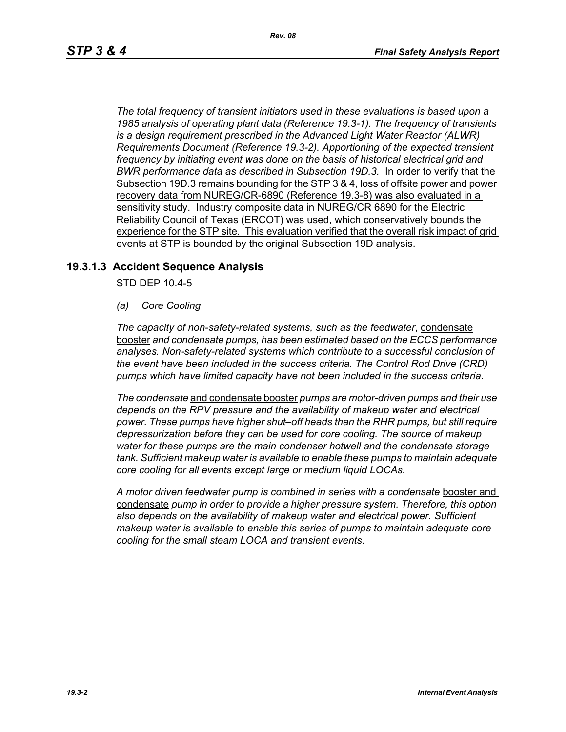*The total frequency of transient initiators used in these evaluations is based upon a 1985 analysis of operating plant data (Reference 19.3-1). The frequency of transients is a design requirement prescribed in the Advanced Light Water Reactor (ALWR) Requirements Document (Reference 19.3-2). Apportioning of the expected transient frequency by initiating event was done on the basis of historical electrical grid and BWR performance data as described in Subsection 19D.3.* In order to verify that the Subsection 19D.3 remains bounding for the STP 3 & 4, loss of offsite power and power recovery data from NUREG/CR-6890 (Reference 19.3-8) was also evaluated in a sensitivity study. Industry composite data in NUREG/CR 6890 for the Electric Reliability Council of Texas (ERCOT) was used, which conservatively bounds the experience for the STP site. This evaluation verified that the overall risk impact of grid events at STP is bounded by the original Subsection 19D analysis.

## **19.3.1.3 Accident Sequence Analysis**

STD DEP 10.4-5

*(a) Core Cooling*

*The capacity of non-safety-related systems, such as the feedwater*, condensate booster *and condensate pumps, has been estimated based on the ECCS performance analyses. Non-safety-related systems which contribute to a successful conclusion of the event have been included in the success criteria. The Control Rod Drive (CRD) pumps which have limited capacity have not been included in the success criteria.*

*The condensate* and condensate booster *pumps are motor-driven pumps and their use depends on the RPV pressure and the availability of makeup water and electrical power. These pumps have higher shut–off heads than the RHR pumps, but still require depressurization before they can be used for core cooling. The source of makeup water for these pumps are the main condenser hotwell and the condensate storage tank. Sufficient makeup water is available to enable these pumps to maintain adequate core cooling for all events except large or medium liquid LOCAs.*

*A motor driven feedwater pump is combined in series with a condensate* booster and condensate *pump in order to provide a higher pressure system. Therefore, this option also depends on the availability of makeup water and electrical power. Sufficient makeup water is available to enable this series of pumps to maintain adequate core cooling for the small steam LOCA and transient events.*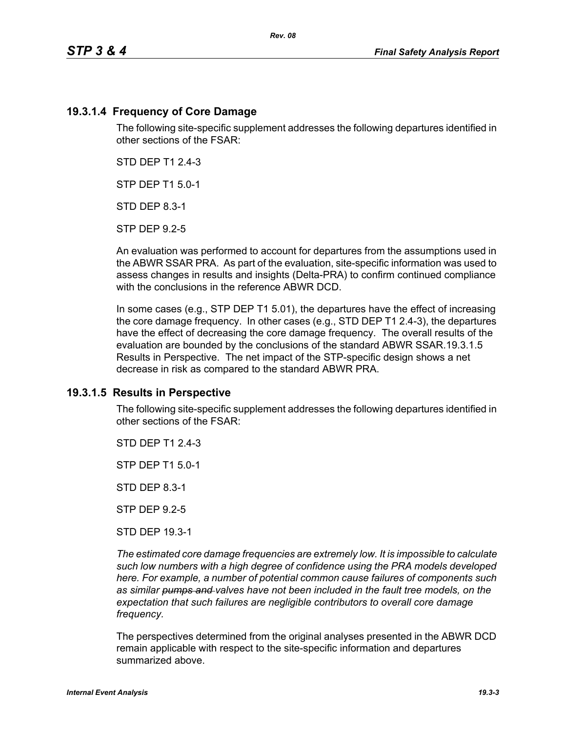## **19.3.1.4 Frequency of Core Damage**

The following site-specific supplement addresses the following departures identified in other sections of the FSAR:

STD DEP T1 2.4-3

STP DEP T1 5.0-1

STD DEP 8.3-1

STP DEP 9.2-5

An evaluation was performed to account for departures from the assumptions used in the ABWR SSAR PRA. As part of the evaluation, site-specific information was used to assess changes in results and insights (Delta-PRA) to confirm continued compliance with the conclusions in the reference ABWR DCD.

In some cases (e.g., STP DEP T1 5.01), the departures have the effect of increasing the core damage frequency. In other cases (e.g., STD DEP T1 2.4-3), the departures have the effect of decreasing the core damage frequency. The overall results of the evaluation are bounded by the conclusions of the standard ABWR SSAR.19.3.1.5 Results in Perspective. The net impact of the STP-specific design shows a net decrease in risk as compared to the standard ABWR PRA.

## **19.3.1.5 Results in Perspective**

The following site-specific supplement addresses the following departures identified in other sections of the FSAR:

STD DFP T1 2 4-3

STP DEP T1 5.0-1

STD DEP 8.3-1

STP DEP 9.2-5

STD DEP 19.3-1

*The estimated core damage frequencies are extremely low. It is impossible to calculate such low numbers with a high degree of confidence using the PRA models developed here. For example, a number of potential common cause failures of components such as similar pumps and valves have not been included in the fault tree models, on the expectation that such failures are negligible contributors to overall core damage frequency.*

The perspectives determined from the original analyses presented in the ABWR DCD remain applicable with respect to the site-specific information and departures summarized above.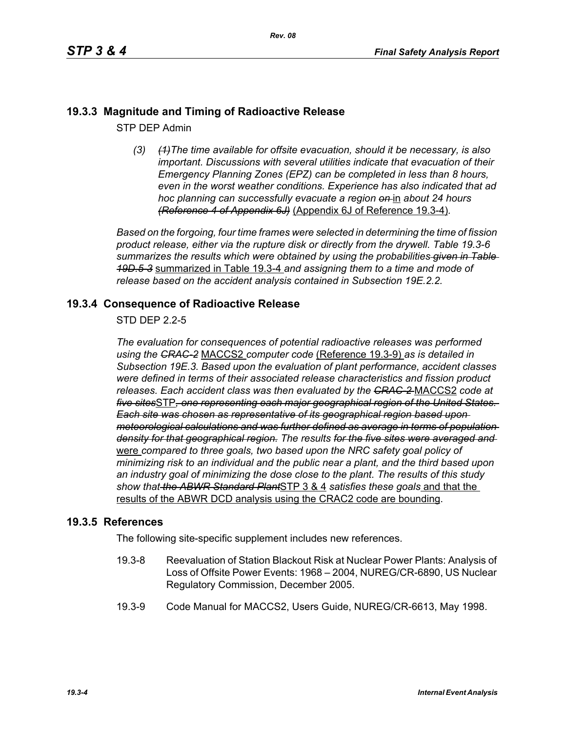# **19.3.3 Magnitude and Timing of Radioactive Release**

STP DEP Admin

*(3) (1)The time available for offsite evacuation, should it be necessary, is also important. Discussions with several utilities indicate that evacuation of their Emergency Planning Zones (EPZ) can be completed in less than 8 hours, even in the worst weather conditions. Experience has also indicated that ad hoc planning can successfully evacuate a region on* in *about 24 hours (Reference 4 of Appendix 6J)* (Appendix 6J of Reference 19.3-4)*.*

*Based on the forgoing, four time frames were selected in determining the time of fission product release, either via the rupture disk or directly from the drywell. Table 19.3-6 summarizes the results which were obtained by using the probabilities given in Table 19D.5-3* summarized in Table 19.3-4 *and assigning them to a time and mode of release based on the accident analysis contained in Subsection 19E.2.2.*

## **19.3.4 Consequence of Radioactive Release**

STD DEP 2.2-5

*The evaluation for consequences of potential radioactive releases was performed using the CRAC-2* MACCS2 *computer code* (Reference 19.3-9) *as is detailed in Subsection 19E.3. Based upon the evaluation of plant performance, accident classes were defined in terms of their associated release characteristics and fission product releases. Each accident class was then evaluated by the CRAC-2* MACCS2 *code at five sites*STP*, one representing each major geographical region of the United States. Each site was chosen as representative of its geographical region based upon meteorological calculations and was further defined as average in terms of population density for that geographical region. The results for the five sites were averaged and*  were *compared to three goals, two based upon the NRC safety goal policy of minimizing risk to an individual and the public near a plant, and the third based upon an industry goal of minimizing the dose close to the plant. The results of this study show that the ABWR Standard Plant*STP 3 & 4 *satisfies these goals* and that the results of the ABWR DCD analysis using the CRAC2 code are bounding.

## **19.3.5 References**

The following site-specific supplement includes new references.

- 19.3-8 Reevaluation of Station Blackout Risk at Nuclear Power Plants: Analysis of Loss of Offsite Power Events: 1968 – 2004, NUREG/CR-6890, US Nuclear Regulatory Commission, December 2005.
- 19.3-9 Code Manual for MACCS2, Users Guide, NUREG/CR-6613, May 1998.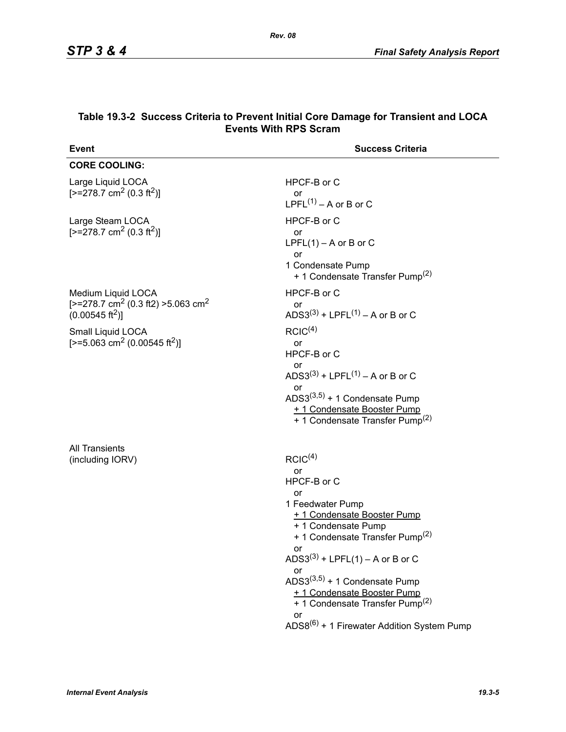| <b>Event</b>                                                                                                          | <b>Success Criteria</b>                                                                                                                                                                                                                                                                                                                                                                                       |
|-----------------------------------------------------------------------------------------------------------------------|---------------------------------------------------------------------------------------------------------------------------------------------------------------------------------------------------------------------------------------------------------------------------------------------------------------------------------------------------------------------------------------------------------------|
| <b>CORE COOLING:</b>                                                                                                  |                                                                                                                                                                                                                                                                                                                                                                                                               |
| Large Liquid LOCA<br>$[-278.7 \text{ cm}^2 (0.3 \text{ ft}^2)]$                                                       | HPCF-B or C<br>or<br>LPFL $(1)$ – A or B or C                                                                                                                                                                                                                                                                                                                                                                 |
| Large Steam LOCA<br>$[-278.7 \text{ cm}^2 (0.3 \text{ ft}^2)]$                                                        | HPCF-B or C<br>or<br>$LPFL(1) - A$ or B or C<br>or<br>1 Condensate Pump<br>+ 1 Condensate Transfer Pump <sup>(2)</sup>                                                                                                                                                                                                                                                                                        |
| Medium Liquid LOCA<br>[ $> = 278.7$ cm <sup>2</sup> (0.3 ft2) $> 5.063$ cm <sup>2</sup><br>$(0.00545 \text{ ft}^2)$ ] | HPCF-B or C<br>or<br>ADS3 <sup>(3)</sup> + LPFL <sup>(1)</sup> – A or B or C                                                                                                                                                                                                                                                                                                                                  |
| Small Liquid LOCA<br>[>=5.063 cm <sup>2</sup> (0.00545 ft <sup>2</sup> )]                                             | RCIC <sup>(4)</sup><br>or<br>HPCF-B or C<br>or<br>ADS3(3) + LPFL(1) – A or B or C<br>or<br>ADS3 $(3,5)$ + 1 Condensate Pump<br>+ 1 Condensate Booster Pump<br>+ 1 Condensate Transfer Pump <sup>(2)</sup>                                                                                                                                                                                                     |
| <b>All Transients</b><br>(including IORV)                                                                             | RCIC <sup>(4)</sup><br>or<br>HPCF-B or C<br>or<br>1 Feedwater Pump<br>+ 1 Condensate Booster Pump<br>+ 1 Condensate Pump<br>+ 1 Condensate Transfer Pump <sup>(2)</sup><br>or<br>$ADS3^{(3)} + LPFL(1) - A$ or B or C<br>or<br>ADS3 $(3,5)$ + 1 Condensate Pump<br>+ 1 Condensate Booster Pump<br>+ 1 Condensate Transfer Pump <sup>(2)</sup><br>or<br>ADS8 <sup>(6)</sup> + 1 Firewater Addition System Pump |

#### **Table 19.3-2 Success Criteria to Prevent Initial Core Damage for Transient and LOCA Events With RPS Scram**